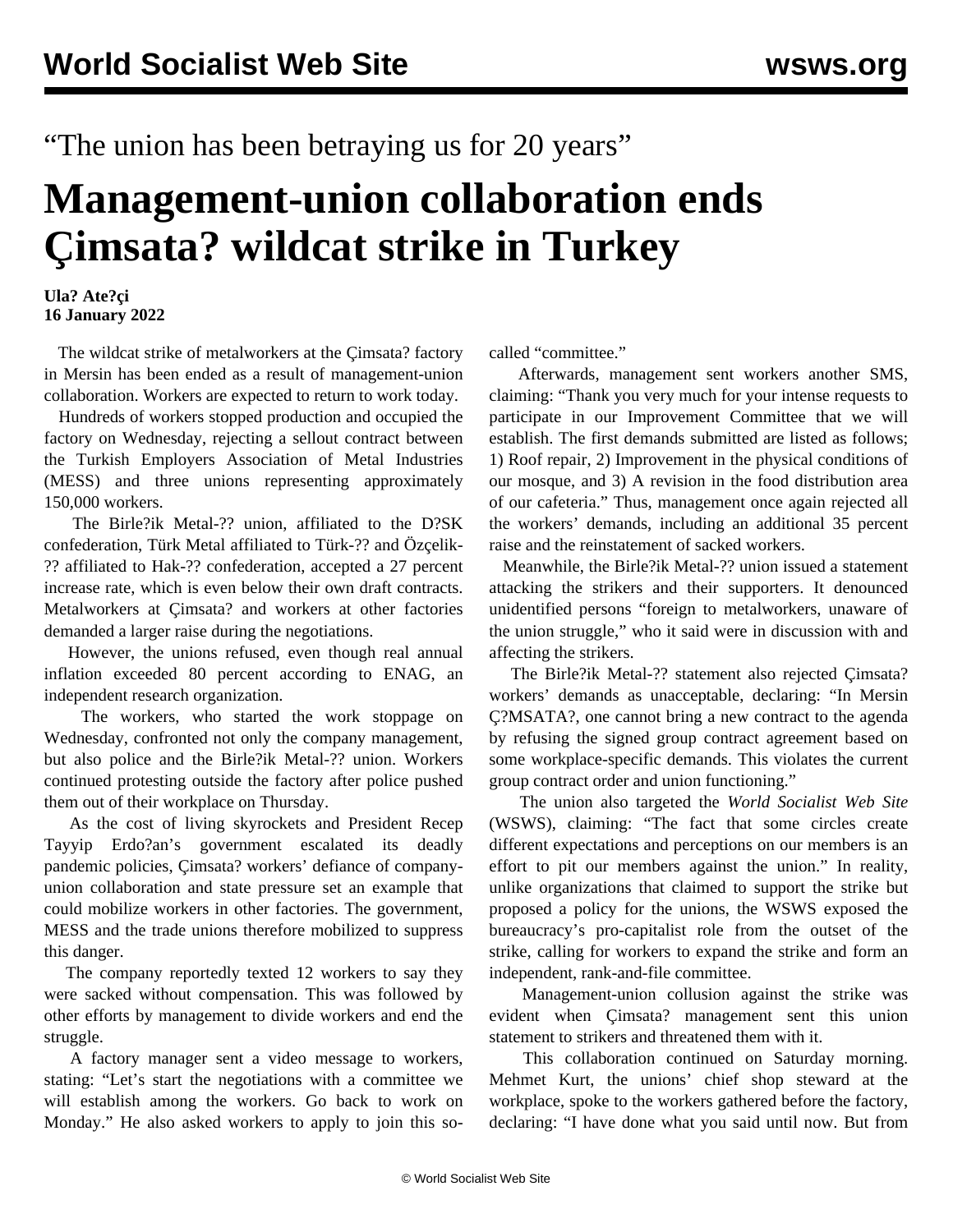## "The union has been betraying us for 20 years"

## **Management-union collaboration ends Çimsata? wildcat strike in Turkey**

## **Ula? Ate?çi 16 January 2022**

 The wildcat strike of metalworkers at the Çimsata? factory in Mersin has been ended as a result of management-union collaboration. Workers are expected to return to work today.

 Hundreds of workers stopped production and occupied the factory on Wednesday, rejecting a sellout contract between the Turkish Employers Association of Metal Industries (MESS) and three unions representing approximately 150,000 workers.

 The Birle?ik Metal-?? union, affiliated to the D?SK confederation, Türk Metal affiliated to Türk-?? and Özçelik- ?? affiliated to Hak-?? confederation, accepted a 27 percent increase rate, which is even below their own draft contracts. Metalworkers at Çimsata? and workers at other factories demanded a larger raise during the negotiations.

 However, the unions refused, even though real annual inflation exceeded 80 percent according to ENAG, an independent research organization.

 The workers, who started the work stoppage on Wednesday, confronted not only the company management, but also police and the Birle?ik Metal-?? union. Workers continued protesting outside the factory after police pushed them out of their workplace on Thursday.

 As the cost of living skyrockets and President Recep Tayyip Erdo?an's government escalated its deadly pandemic policies, Çimsata? workers' defiance of companyunion collaboration and state pressure set an example that could mobilize workers in other factories. The government, MESS and the trade unions therefore mobilized to suppress this danger.

 The company reportedly texted 12 workers to say they were sacked without compensation. This was followed by other efforts by management to divide workers and end the struggle.

 A factory manager sent a video message to workers, stating: "Let's start the negotiations with a committee we will establish among the workers. Go back to work on Monday." He also asked workers to apply to join this socalled "committee."

 Afterwards, management sent workers another SMS, claiming: "Thank you very much for your intense requests to participate in our Improvement Committee that we will establish. The first demands submitted are listed as follows; 1) Roof repair, 2) Improvement in the physical conditions of our mosque, and 3) A revision in the food distribution area of our cafeteria." Thus, management once again rejected all the workers' demands, including an additional 35 percent raise and the reinstatement of sacked workers.

 Meanwhile, the Birle?ik Metal-?? union issued a statement attacking the strikers and their supporters. It denounced unidentified persons "foreign to metalworkers, unaware of the union struggle," who it said were in discussion with and affecting the strikers.

 The Birle?ik Metal-?? statement also rejected Çimsata? workers' demands as unacceptable, declaring: "In Mersin Ç?MSATA?, one cannot bring a new contract to the agenda by refusing the signed group contract agreement based on some workplace-specific demands. This violates the current group contract order and union functioning."

 The union also targeted the *World Socialist Web Site* (WSWS), claiming: "The fact that some circles create different expectations and perceptions on our members is an effort to pit our members against the union." In reality, unlike organizations that claimed to support the strike but proposed a policy for the unions, the WSWS exposed the bureaucracy's pro-capitalist role from the outset of the strike, calling for workers to expand the strike and form an independent, rank-and-file committee.

 Management-union collusion against the strike was evident when Çimsata? management sent this union statement to strikers and threatened them with it.

 This collaboration continued on Saturday morning. Mehmet Kurt, the unions' chief shop steward at the workplace, spoke to the workers gathered before the factory, declaring: "I have done what you said until now. But from